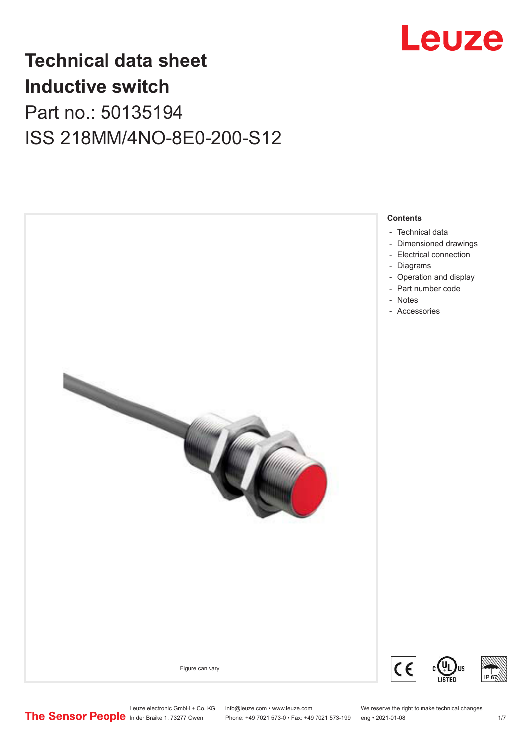

## **Technical data sheet Inductive switch** Part no.: 50135194 ISS 218MM/4NO-8E0-200-S12

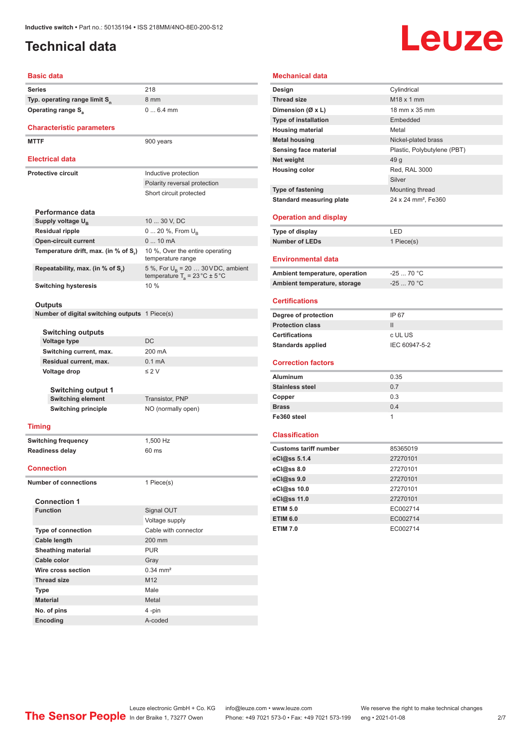## <span id="page-1-0"></span>**Technical data**

# Leuze

#### **Basic data**

| <b>Series</b>                             | 218 |
|-------------------------------------------|-----|
| Typ. operating range limit S <sub>n</sub> | 8 m |
| Operating range S <sub>2</sub>            |     |

### **Characteristic parameters**

MTTF 900 years

### **Electrical data**

| Electrical data                      |                                                                                          |
|--------------------------------------|------------------------------------------------------------------------------------------|
| Protective circuit                   | Inductive protection                                                                     |
|                                      | Polarity reversal protection                                                             |
|                                      | Short circuit protected                                                                  |
|                                      |                                                                                          |
| Performance data                     |                                                                                          |
| Supply voltage U <sub>n</sub>        | 10  30 V, DC                                                                             |
| <b>Residual ripple</b>               | $0 20 \%$ , From $U_{p}$                                                                 |
| <b>Open-circuit current</b>          | $010$ mA                                                                                 |
| Temperature drift, max. (in % of S.) | 10 %, Over the entire operating<br>temperature range                                     |
| Repeatability, max. (in % of S.)     | 5 %, For $U_B$ = 20  30 VDC, ambient<br>temperature $T_a = 23 \degree C \pm 5 \degree C$ |
| <b>Switching hysteresis</b>          | 10%                                                                                      |

8 mm

0 ... 6.4 mm

#### **Outputs**

**Number of digital switching outputs** 1 Piece(s)

|  | <b>Switching outputs</b> |
|--|--------------------------|
|  |                          |

| <b>Voltage type</b>        | DC.                |
|----------------------------|--------------------|
| Switching current, max.    | 200 mA             |
| Residual current, max.     | $0.1 \text{ mA}$   |
| Voltage drop               | $\leq$ 2 V         |
| <b>Switching output 1</b>  |                    |
|                            |                    |
| <b>Switching element</b>   | Transistor, PNP    |
| <b>Switching principle</b> | NO (normally open) |

#### **Timing**

**Switching frequency** 1,500 Hz **Readiness delay** 60 ms

#### **Connection**

**Number of connections** 1 Piece(s)

| <b>Connection 1</b>       |                       |
|---------------------------|-----------------------|
| <b>Function</b>           | Signal OUT            |
|                           | Voltage supply        |
| <b>Type of connection</b> | Cable with connector  |
| Cable length              | $200$ mm              |
| <b>Sheathing material</b> | <b>PUR</b>            |
| Cable color               | Gray                  |
| Wire cross section        | $0.34 \, \text{mm}^2$ |
| <b>Thread size</b>        | M <sub>12</sub>       |
| <b>Type</b>               | Male                  |
| <b>Material</b>           | Metal                 |
| No. of pins               | 4-pin                 |
| Encoding                  | A-coded               |

### **Mechanical data**

| Design                          | Cylindrical                     |
|---------------------------------|---------------------------------|
| <b>Thread size</b>              | M18 x 1 mm                      |
| Dimension (Ø x L)               | 18 mm x 35 mm                   |
| <b>Type of installation</b>     | Embedded                        |
| <b>Housing material</b>         | Metal                           |
| <b>Metal housing</b>            | Nickel-plated brass             |
| <b>Sensing face material</b>    | Plastic, Polybutylene (PBT)     |
| Net weight                      | 49 g                            |
| <b>Housing color</b>            | Red, RAL 3000                   |
|                                 | Silver                          |
| Type of fastening               | Mounting thread                 |
| <b>Standard measuring plate</b> | 24 x 24 mm <sup>2</sup> , Fe360 |
|                                 |                                 |
| <b>Operation and display</b>    |                                 |
| Type of display                 | LED                             |
| <b>Number of LEDs</b>           | 1 Piece(s)                      |
|                                 |                                 |
| <b>Environmental data</b>       |                                 |
| Ambient temperature, operation  | $-2570 °C$                      |
| Ambient temperature, storage    | $-2570 °C$                      |
|                                 |                                 |
| <b>Certifications</b>           |                                 |
|                                 |                                 |
| Degree of protection            | IP 67                           |
| <b>Protection class</b>         | $\mathbf{II}$                   |
| <b>Certifications</b>           | c UL US                         |
| <b>Standards applied</b>        | IEC 60947-5-2                   |
|                                 |                                 |
| <b>Correction factors</b>       |                                 |
| <b>Aluminum</b>                 | 0.35                            |
| <b>Stainless steel</b>          | 0.7                             |
| Copper                          | 0.3                             |
| <b>Brass</b>                    | 0.4                             |
| Fe360 steel                     | 1                               |
|                                 |                                 |
| <b>Classification</b>           |                                 |
| <b>Customs tariff number</b>    | 85365019                        |
| eCl@ss 5.1.4                    | 27270101                        |
| eCl@ss 8.0                      | 27270101                        |
| eCl@ss 9.0                      | 27270101                        |
| eCl@ss 10.0                     | 27270101                        |
| eCl@ss 11.0                     | 27270101                        |
| <b>ETIM 5.0</b>                 | EC002714                        |
| <b>ETIM 6.0</b>                 | EC002714                        |
| <b>ETIM 7.0</b>                 | EC002714                        |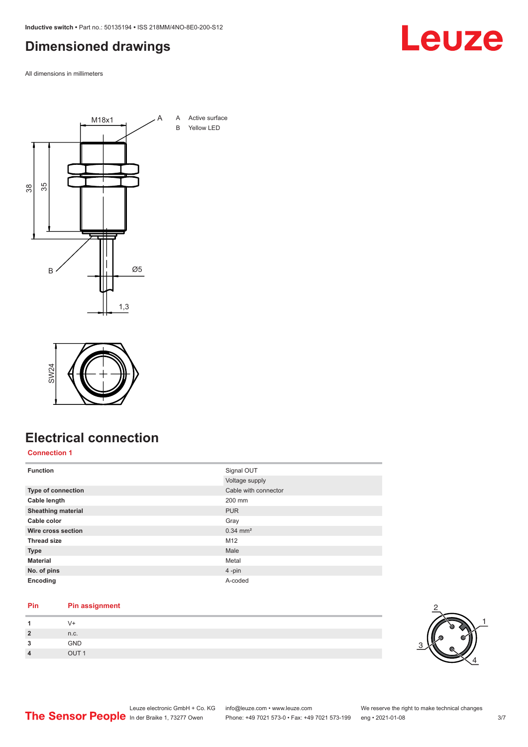<span id="page-2-0"></span>**Inductive switch •** Part no.: 50135194 **•** ISS 218MM/4NO-8E0-200-S12

## **Dimensioned drawings**

All dimensions in millimeters





## **Electrical connection**

### **Connection 1**

| <b>Function</b>           | Signal OUT             |
|---------------------------|------------------------|
|                           | Voltage supply         |
| Type of connection        | Cable with connector   |
| Cable length              | 200 mm                 |
| <b>Sheathing material</b> | <b>PUR</b>             |
| Cable color               | Gray                   |
| Wire cross section        | $0.34$ mm <sup>2</sup> |
| <b>Thread size</b>        | M <sub>12</sub>        |
| <b>Type</b>               | Male                   |
| <b>Material</b>           | Metal                  |
| No. of pins               | $4$ -pin               |
| Encoding                  | A-coded                |

### **Pin Pin assignment**

| $\boldsymbol{A}$ |       |
|------------------|-------|
| $\overline{2}$   | n.c.  |
| 3                | GND   |
| $\overline{4}$   | OIII1 |



### Leuze electronic GmbH + Co. KG info@leuze.com • www.leuze.com We reserve the right to make technical changes<br>
The Sensor People in der Braike 1, 73277 Owen Phone: +49 7021 573-0 • Fax: +49 7021 573-199 eng • 2021-01-08 Phone: +49 7021 573-0 • Fax: +49 7021 573-199 eng • 2021-01-08 3/7

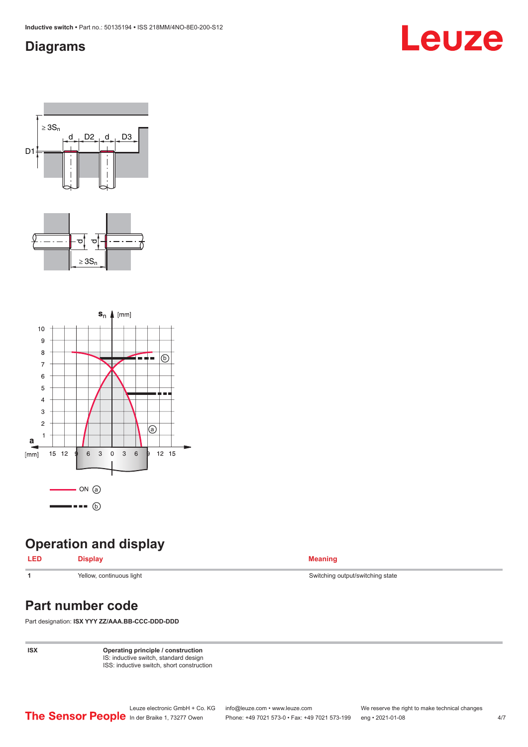## <span id="page-3-0"></span>**Diagrams**

## Leuze







## **Operation and display**

### **LED Display Meaning**

**1** Yellow, continuous light Switching output/switching state

## **Part number code**

Part designation: **ISX YYY ZZ/AAA.BB-CCC-DDD-DDD**

**ISX Operating principle / construction** IS: inductive switch, standard design ISS: inductive switch, short construction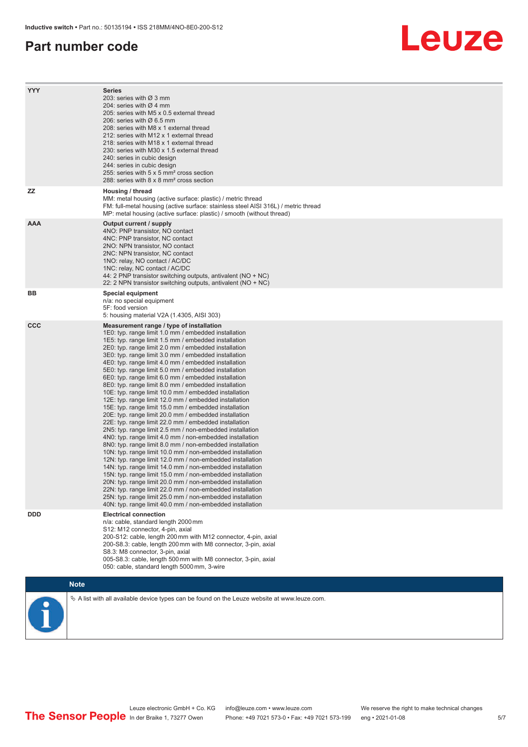### **Part number code**

## Leuze

| <b>YYY</b> | <b>Series</b><br>203: series with Ø 3 mm<br>204: series with $\varnothing$ 4 mm<br>205: series with M5 x 0.5 external thread<br>206: series with $\varnothing$ 6.5 mm<br>208: series with M8 x 1 external thread<br>212: series with M12 x 1 external thread<br>218: series with M18 x 1 external thread<br>230: series with M30 x 1.5 external thread<br>240: series in cubic design<br>244: series in cubic design<br>255: series with 5 x 5 mm <sup>2</sup> cross section<br>288: series with 8 x 8 mm <sup>2</sup> cross section                                                                                                                                                                                                                                                                                                                                                                                                                                                                                                                                                                                                                                                                                                                                                                                                                                                                                                                                                              |
|------------|---------------------------------------------------------------------------------------------------------------------------------------------------------------------------------------------------------------------------------------------------------------------------------------------------------------------------------------------------------------------------------------------------------------------------------------------------------------------------------------------------------------------------------------------------------------------------------------------------------------------------------------------------------------------------------------------------------------------------------------------------------------------------------------------------------------------------------------------------------------------------------------------------------------------------------------------------------------------------------------------------------------------------------------------------------------------------------------------------------------------------------------------------------------------------------------------------------------------------------------------------------------------------------------------------------------------------------------------------------------------------------------------------------------------------------------------------------------------------------------------------|
| <b>ZZ</b>  | Housing / thread<br>MM: metal housing (active surface: plastic) / metric thread<br>FM: full-metal housing (active surface: stainless steel AISI 316L) / metric thread<br>MP: metal housing (active surface: plastic) / smooth (without thread)                                                                                                                                                                                                                                                                                                                                                                                                                                                                                                                                                                                                                                                                                                                                                                                                                                                                                                                                                                                                                                                                                                                                                                                                                                                    |
| <b>AAA</b> | Output current / supply<br>4NO: PNP transistor, NO contact<br>4NC: PNP transistor, NC contact<br>2NO: NPN transistor, NO contact<br>2NC: NPN transistor, NC contact<br>1NO: relay, NO contact / AC/DC<br>1NC: relay, NC contact / AC/DC<br>44: 2 PNP transistor switching outputs, antivalent ( $NO + NC$ )<br>22: 2 NPN transistor switching outputs, antivalent (NO + NC)                                                                                                                                                                                                                                                                                                                                                                                                                                                                                                                                                                                                                                                                                                                                                                                                                                                                                                                                                                                                                                                                                                                       |
| BB         | <b>Special equipment</b><br>n/a: no special equipment<br>5F: food version<br>5: housing material V2A (1.4305, AISI 303)                                                                                                                                                                                                                                                                                                                                                                                                                                                                                                                                                                                                                                                                                                                                                                                                                                                                                                                                                                                                                                                                                                                                                                                                                                                                                                                                                                           |
| <b>CCC</b> | Measurement range / type of installation<br>1E0: typ. range limit 1.0 mm / embedded installation<br>1E5: typ. range limit 1.5 mm / embedded installation<br>2E0: typ. range limit 2.0 mm / embedded installation<br>3E0: typ. range limit 3.0 mm / embedded installation<br>4E0: typ. range limit 4.0 mm / embedded installation<br>5E0: typ. range limit 5.0 mm / embedded installation<br>6E0: typ. range limit 6.0 mm / embedded installation<br>8E0: typ. range limit 8.0 mm / embedded installation<br>10E: typ. range limit 10.0 mm / embedded installation<br>12E: typ. range limit 12.0 mm / embedded installation<br>15E: typ. range limit 15.0 mm / embedded installation<br>20E: typ. range limit 20.0 mm / embedded installation<br>22E: typ. range limit 22.0 mm / embedded installation<br>2N5: typ. range limit 2.5 mm / non-embedded installation<br>4N0: typ. range limit 4.0 mm / non-embedded installation<br>8N0: typ. range limit 8.0 mm / non-embedded installation<br>10N: typ. range limit 10.0 mm / non-embedded installation<br>12N: typ. range limit 12.0 mm / non-embedded installation<br>14N: typ. range limit 14.0 mm / non-embedded installation<br>15N: typ. range limit 15.0 mm / non-embedded installation<br>20N: typ. range limit 20.0 mm / non-embedded installation<br>22N: typ. range limit 22.0 mm / non-embedded installation<br>25N: typ. range limit 25.0 mm / non-embedded installation<br>40N: typ. range limit 40.0 mm / non-embedded installation |
| <b>DDD</b> | <b>Electrical connection</b><br>n/a: cable, standard length 2000 mm<br>S12: M12 connector, 4-pin, axial<br>200-S12: cable, length 200 mm with M12 connector, 4-pin, axial<br>200-S8.3: cable, length 200 mm with M8 connector, 3-pin, axial<br>S8.3: M8 connector, 3-pin, axial<br>005-S8.3: cable, length 500 mm with M8 connector, 3-pin, axial<br>050: cable, standard length 5000 mm, 3-wire                                                                                                                                                                                                                                                                                                                                                                                                                                                                                                                                                                                                                                                                                                                                                                                                                                                                                                                                                                                                                                                                                                  |
|            | <b>Note</b>                                                                                                                                                                                                                                                                                                                                                                                                                                                                                                                                                                                                                                                                                                                                                                                                                                                                                                                                                                                                                                                                                                                                                                                                                                                                                                                                                                                                                                                                                       |
|            | $\&$ A list with all available device types can be found on the Leuze website at www.leuze.com.                                                                                                                                                                                                                                                                                                                                                                                                                                                                                                                                                                                                                                                                                                                                                                                                                                                                                                                                                                                                                                                                                                                                                                                                                                                                                                                                                                                                   |



Leuze electronic GmbH + Co. KG info@leuze.com • www.leuze.com We reserve the right to make technical changes In der Braike 1, 73277 Owen Phone: +49 7021 573-0 • Fax: +49 7021 573-199 eng • 2021-01-08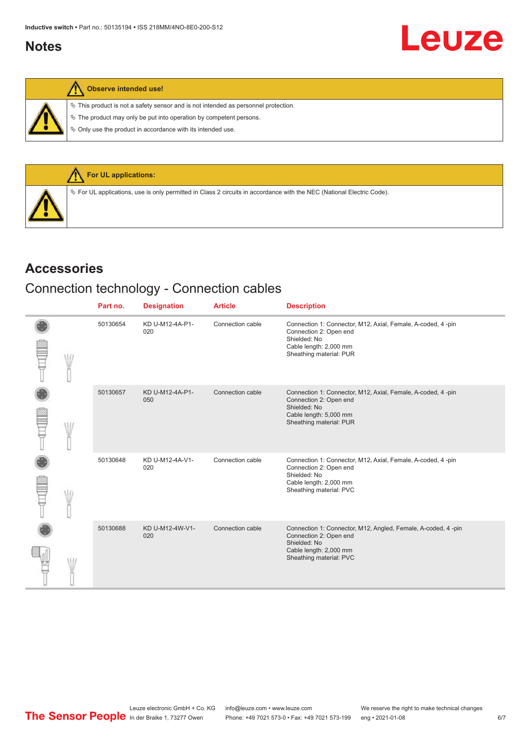### <span id="page-5-0"></span>**Notes**

### **Observe intended use!**

 $\%$  This product is not a safety sensor and is not intended as personnel protection.

 $\&$  The product may only be put into operation by competent persons.

 $\%$  Only use the product in accordance with its intended use.



### **Accessories**

## Connection technology - Connection cables

|  | Part no. | <b>Designation</b>     | <b>Article</b>   | <b>Description</b>                                                                                                                                           |
|--|----------|------------------------|------------------|--------------------------------------------------------------------------------------------------------------------------------------------------------------|
|  | 50130654 | KD U-M12-4A-P1-<br>020 | Connection cable | Connection 1: Connector, M12, Axial, Female, A-coded, 4 -pin<br>Connection 2: Open end<br>Shielded: No<br>Cable length: 2,000 mm<br>Sheathing material: PUR  |
|  | 50130657 | KD U-M12-4A-P1-<br>050 | Connection cable | Connection 1: Connector, M12, Axial, Female, A-coded, 4-pin<br>Connection 2: Open end<br>Shielded: No<br>Cable length: 5,000 mm<br>Sheathing material: PUR   |
|  | 50130648 | KD U-M12-4A-V1-<br>020 | Connection cable | Connection 1: Connector, M12, Axial, Female, A-coded, 4-pin<br>Connection 2: Open end<br>Shielded: No<br>Cable length: 2,000 mm<br>Sheathing material: PVC   |
|  | 50130688 | KD U-M12-4W-V1-<br>020 | Connection cable | Connection 1: Connector, M12, Angled, Female, A-coded, 4 -pin<br>Connection 2: Open end<br>Shielded: No<br>Cable length: 2,000 mm<br>Sheathing material: PVC |

Leuze